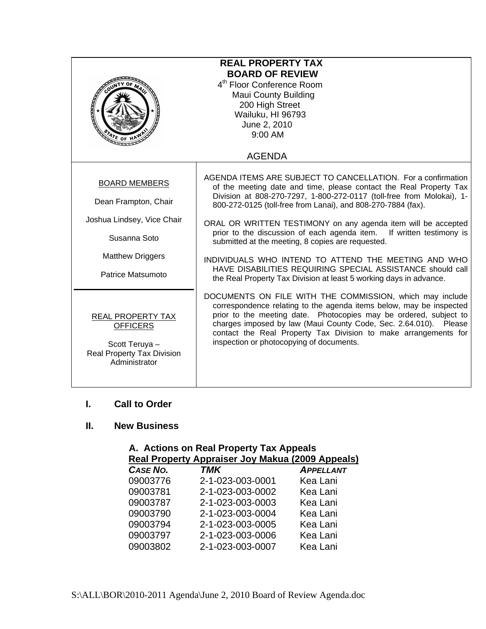| <b>REAL PROPERTY TAX</b><br><b>BOARD OF REVIEW</b><br>4 <sup>th</sup> Floor Conference Room<br><b>Maui County Building</b><br>200 High Street<br>Wailuku, HI 96793<br>June 2, 2010<br>$9:00$ AM<br>$4r_{E}$ of |                                                                                                                                                                                                                                                                                                                                                                                                                                                                                                                                                                                                                                                                       |  |
|----------------------------------------------------------------------------------------------------------------------------------------------------------------------------------------------------------------|-----------------------------------------------------------------------------------------------------------------------------------------------------------------------------------------------------------------------------------------------------------------------------------------------------------------------------------------------------------------------------------------------------------------------------------------------------------------------------------------------------------------------------------------------------------------------------------------------------------------------------------------------------------------------|--|
|                                                                                                                                                                                                                | <b>AGENDA</b>                                                                                                                                                                                                                                                                                                                                                                                                                                                                                                                                                                                                                                                         |  |
| <b>BOARD MEMBERS</b><br>Dean Frampton, Chair<br>Joshua Lindsey, Vice Chair<br>Susanna Soto<br><b>Matthew Driggers</b><br>Patrice Matsumoto                                                                     | AGENDA ITEMS ARE SUBJECT TO CANCELLATION. For a confirmation<br>of the meeting date and time, please contact the Real Property Tax<br>Division at 808-270-7297, 1-800-272-0117 (toll-free from Molokai), 1-<br>800-272-0125 (toll-free from Lanai), and 808-270-7884 (fax).<br>ORAL OR WRITTEN TESTIMONY on any agenda item will be accepted<br>prior to the discussion of each agenda item. If written testimony is<br>submitted at the meeting, 8 copies are requested.<br>INDIVIDUALS WHO INTEND TO ATTEND THE MEETING AND WHO<br>HAVE DISABILITIES REQUIRING SPECIAL ASSISTANCE should call<br>the Real Property Tax Division at least 5 working days in advance. |  |
| REAL PROPERTY TAX<br><b>OFFICERS</b><br>Scott Teruya -<br>Real Property Tax Division<br>Administrator                                                                                                          | DOCUMENTS ON FILE WITH THE COMMISSION, which may include<br>correspondence relating to the agenda items below, may be inspected<br>prior to the meeting date. Photocopies may be ordered, subject to<br>charges imposed by law (Maui County Code, Sec. 2.64.010). Please<br>contact the Real Property Tax Division to make arrangements for<br>inspection or photocopying of documents.                                                                                                                                                                                                                                                                               |  |

# **I. Call to Order**

## **II. New Business**

|                 | A. Actions on Real Property Tax Appeals          |                  |
|-----------------|--------------------------------------------------|------------------|
|                 | Real Property Appraiser Joy Makua (2009 Appeals) |                  |
| <b>CASE NO.</b> | TMK                                              | <b>APPELLANT</b> |
| 00002776        | <u>n 1 nhà nha nh</u> ai                         | Kooloni          |

| 09003776 | 2-1-023-003-0001 | Kea Lani |
|----------|------------------|----------|
| 09003781 | 2-1-023-003-0002 | Kea Lani |
| 09003787 | 2-1-023-003-0003 | Kea Lani |
| 09003790 | 2-1-023-003-0004 | Kea Lani |
| 09003794 | 2-1-023-003-0005 | Kea Lani |
| 09003797 | 2-1-023-003-0006 | Kea Lani |
| 09003802 | 2-1-023-003-0007 | Kea Lani |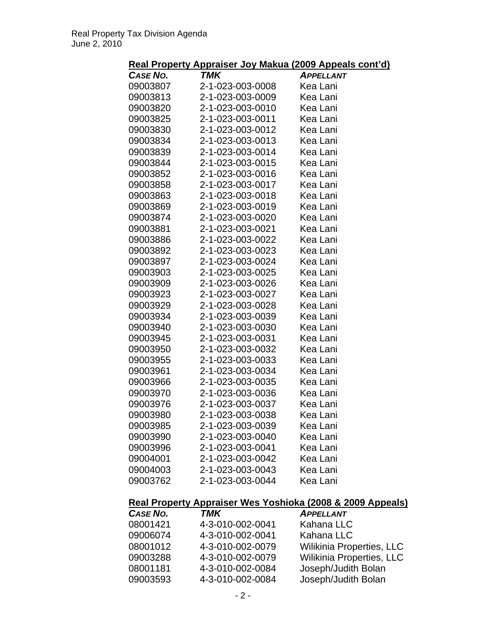## **Real Property Appraiser Joy Makua (2009 Appeals cont'd)**

|          | <u>ncar Froperty Appraiser boy manua (2000 Appeals con</u> |                  |
|----------|------------------------------------------------------------|------------------|
| CASE NO. | TMK                                                        | <b>APPELLANT</b> |
| 09003807 | 2-1-023-003-0008                                           | Kea Lani         |
| 09003813 | 2-1-023-003-0009                                           | Kea Lani         |
| 09003820 | 2-1-023-003-0010                                           | Kea Lani         |
| 09003825 | 2-1-023-003-0011                                           | Kea Lani         |
| 09003830 | 2-1-023-003-0012                                           | Kea Lani         |
| 09003834 | 2-1-023-003-0013                                           | Kea Lani         |
| 09003839 | 2-1-023-003-0014                                           | Kea Lani         |
| 09003844 | 2-1-023-003-0015                                           | Kea Lani         |
| 09003852 | 2-1-023-003-0016                                           | Kea Lani         |
| 09003858 | 2-1-023-003-0017                                           | Kea Lani         |
| 09003863 | 2-1-023-003-0018                                           | Kea Lani         |
| 09003869 | 2-1-023-003-0019                                           | Kea Lani         |
| 09003874 | 2-1-023-003-0020                                           | Kea Lani         |
| 09003881 | 2-1-023-003-0021                                           | Kea Lani         |
| 09003886 | 2-1-023-003-0022                                           | Kea Lani         |
| 09003892 | 2-1-023-003-0023                                           | Kea Lani         |
| 09003897 | 2-1-023-003-0024                                           | Kea Lani         |
| 09003903 | 2-1-023-003-0025                                           | Kea Lani         |
| 09003909 | 2-1-023-003-0026                                           | Kea Lani         |
| 09003923 | 2-1-023-003-0027                                           | Kea Lani         |
| 09003929 | 2-1-023-003-0028                                           | Kea Lani         |
| 09003934 | 2-1-023-003-0039                                           | Kea Lani         |
| 09003940 | 2-1-023-003-0030                                           | Kea Lani         |
| 09003945 | 2-1-023-003-0031                                           | Kea Lani         |
| 09003950 | 2-1-023-003-0032                                           | Kea Lani         |
| 09003955 | 2-1-023-003-0033                                           | Kea Lani         |
| 09003961 | 2-1-023-003-0034                                           | Kea Lani         |
| 09003966 | 2-1-023-003-0035                                           | Kea Lani         |
| 09003970 | 2-1-023-003-0036                                           | Kea Lani         |
| 09003976 | 2-1-023-003-0037                                           | Kea Lani         |
| 09003980 | 2-1-023-003-0038                                           | Kea Lani         |
| 09003985 | 2-1-023-003-0039                                           | Kea Lani         |
| 09003990 | 2-1-023-003-0040                                           | Kea Lani         |
| 09003996 | 2-1-023-003-0041                                           | Kea Lani         |
| 09004001 | 2-1-023-003-0042                                           | Kea Lani         |
| 09004003 | 2-1-023-003-0043                                           | Kea Lani         |
| 09003762 | 2-1-023-003-0044                                           | Kea Lani         |
|          |                                                            |                  |

## **Real Property Appraiser Wes Yoshioka (2008 & 2009 Appeals)**

| CASE NO. | <b>TMK</b>       | <b>APPELLANT</b>          |
|----------|------------------|---------------------------|
| 08001421 | 4-3-010-002-0041 | Kahana LLC                |
| 09006074 | 4-3-010-002-0041 | Kahana LLC                |
| 08001012 | 4-3-010-002-0079 | Wilikinia Properties, LLC |
| 09003288 | 4-3-010-002-0079 | Wilikinia Properties, LLC |
| 08001181 | 4-3-010-002-0084 | Joseph/Judith Bolan       |
| 09003593 | 4-3-010-002-0084 | Joseph/Judith Bolan       |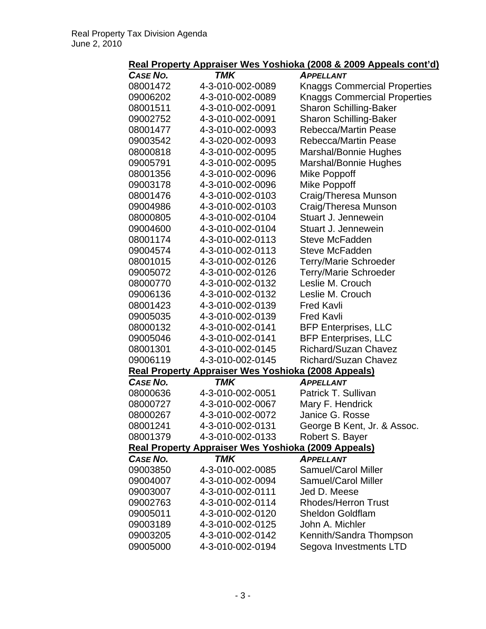| Real Property Appraiser Wes Yoshioka (2008 & 2009 Appeals cont'd) |  |
|-------------------------------------------------------------------|--|
|-------------------------------------------------------------------|--|

| <b>CASE NO.</b> | <b>TMK</b>                                                 | <b>APPELLANT</b>                    |
|-----------------|------------------------------------------------------------|-------------------------------------|
| 08001472        | 4-3-010-002-0089                                           | <b>Knaggs Commercial Properties</b> |
| 09006202        | 4-3-010-002-0089                                           | <b>Knaggs Commercial Properties</b> |
| 08001511        | 4-3-010-002-0091                                           | <b>Sharon Schilling-Baker</b>       |
| 09002752        | 4-3-010-002-0091                                           | <b>Sharon Schilling-Baker</b>       |
| 08001477        | 4-3-010-002-0093                                           | <b>Rebecca/Martin Pease</b>         |
| 09003542        | 4-3-020-002-0093                                           | <b>Rebecca/Martin Pease</b>         |
| 08000818        | 4-3-010-002-0095                                           | Marshal/Bonnie Hughes               |
| 09005791        | 4-3-010-002-0095                                           | Marshal/Bonnie Hughes               |
| 08001356        | 4-3-010-002-0096                                           | Mike Poppoff                        |
| 09003178        | 4-3-010-002-0096                                           | <b>Mike Poppoff</b>                 |
| 08001476        | 4-3-010-002-0103                                           | Craig/Theresa Munson                |
| 09004986        | 4-3-010-002-0103                                           | Craig/Theresa Munson                |
| 08000805        | 4-3-010-002-0104                                           | Stuart J. Jennewein                 |
| 09004600        | 4-3-010-002-0104                                           | Stuart J. Jennewein                 |
| 08001174        | 4-3-010-002-0113                                           | <b>Steve McFadden</b>               |
| 09004574        | 4-3-010-002-0113                                           | <b>Steve McFadden</b>               |
| 08001015        | 4-3-010-002-0126                                           | <b>Terry/Marie Schroeder</b>        |
| 09005072        | 4-3-010-002-0126                                           | <b>Terry/Marie Schroeder</b>        |
| 08000770        | 4-3-010-002-0132                                           | Leslie M. Crouch                    |
| 09006136        | 4-3-010-002-0132                                           | Leslie M. Crouch                    |
| 08001423        | 4-3-010-002-0139                                           | <b>Fred Kavli</b>                   |
| 09005035        | 4-3-010-002-0139                                           | <b>Fred Kavli</b>                   |
| 08000132        | 4-3-010-002-0141                                           | <b>BFP Enterprises, LLC</b>         |
| 09005046        | 4-3-010-002-0141                                           | <b>BFP Enterprises, LLC</b>         |
| 08001301        | 4-3-010-002-0145                                           | <b>Richard/Suzan Chavez</b>         |
| 09006119        | 4-3-010-002-0145                                           | <b>Richard/Suzan Chavez</b>         |
|                 | Real Property Appraiser Wes Yoshioka (2008 Appeals)        |                                     |
| <b>CASE NO.</b> | <b>TMK</b>                                                 | <b>APPELLANT</b>                    |
| 08000636        | 4-3-010-002-0051                                           | Patrick T. Sullivan                 |
| 08000727        | 4-3-010-002-0067                                           | Mary F. Hendrick                    |
| 08000267        | 4-3-010-002-0072                                           | Janice G. Rosse                     |
| 08001241        | 4-3-010-002-0131                                           | George B Kent, Jr. & Assoc.         |
| 08001379        | 4-3-010-002-0133                                           | Robert S. Bayer                     |
|                 | <b>Real Property Appraiser Wes Yoshioka (2009 Appeals)</b> |                                     |
| <b>CASE NO.</b> | <b>TMK</b>                                                 | <b>APPELLANT</b>                    |
| 09003850        | 4-3-010-002-0085                                           | <b>Samuel/Carol Miller</b>          |
| 09004007        | 4-3-010-002-0094                                           | <b>Samuel/Carol Miller</b>          |
| 09003007        | 4-3-010-002-0111                                           | Jed D. Meese                        |
| 09002763        | 4-3-010-002-0114                                           | <b>Rhodes/Herron Trust</b>          |
| 09005011        | 4-3-010-002-0120                                           | <b>Sheldon Goldflam</b>             |
| 09003189        | 4-3-010-002-0125                                           | John A. Michler                     |
| 09003205        | 4-3-010-002-0142                                           | Kennith/Sandra Thompson             |
| 09005000        | 4-3-010-002-0194                                           | Segova Investments LTD              |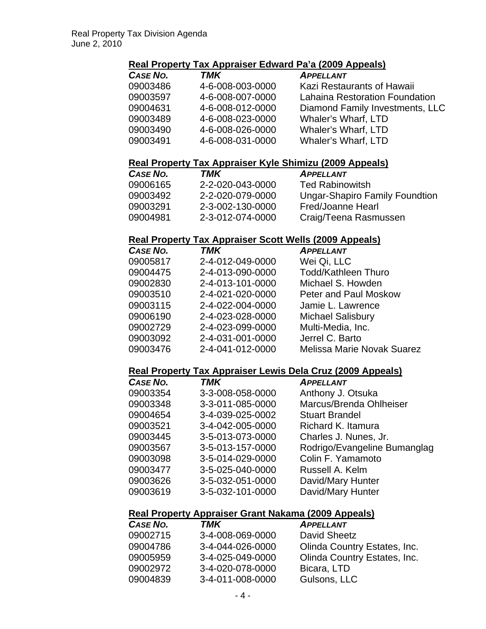### **Real Property Tax Appraiser Edward Pa'a (2009 Appeals)**

| <b>CASE NO.</b> | TMK              | <b>APPELLANT</b>                |
|-----------------|------------------|---------------------------------|
| 09003486        | 4-6-008-003-0000 | Kazi Restaurants of Hawaii      |
| 09003597        | 4-6-008-007-0000 | Lahaina Restoration Foundation  |
| 09004631        | 4-6-008-012-0000 | Diamond Family Investments, LLC |
| 09003489        | 4-6-008-023-0000 | <b>Whaler's Wharf, LTD</b>      |
| 09003490        | 4-6-008-026-0000 | <b>Whaler's Wharf, LTD</b>      |
| 09003491        | 4-6-008-031-0000 | <b>Whaler's Wharf, LTD</b>      |
|                 |                  |                                 |

### **Real Property Tax Appraiser Kyle Shimizu (2009 Appeals)**

| CASE NO. | TMK              | <b>APPELLANT</b>                      |
|----------|------------------|---------------------------------------|
| 09006165 | 2-2-020-043-0000 | <b>Ted Rabinowitsh</b>                |
| 09003492 | 2-2-020-079-0000 | <b>Ungar-Shapiro Family Foundtion</b> |
| 09003291 | 2-3-002-130-0000 | Fred/Joanne Hearl                     |
| 09004981 | 2-3-012-074-0000 | Craig/Teena Rasmussen                 |

### **Real Property Tax Appraiser Scott Wells (2009 Appeals)**

| CASE NO. | <b>TMK</b>       | <b>APPELLANT</b>                  |
|----------|------------------|-----------------------------------|
| 09005817 | 2-4-012-049-0000 | Wei Qi, LLC                       |
| 09004475 | 2-4-013-090-0000 | <b>Todd/Kathleen Thuro</b>        |
| 09002830 | 2-4-013-101-0000 | Michael S. Howden                 |
| 09003510 | 2-4-021-020-0000 | Peter and Paul Moskow             |
| 09003115 | 2-4-022-004-0000 | Jamie L. Lawrence                 |
| 09006190 | 2-4-023-028-0000 | <b>Michael Salisbury</b>          |
| 09002729 | 2-4-023-099-0000 | Multi-Media, Inc.                 |
| 09003092 | 2-4-031-001-0000 | Jerrel C. Barto                   |
| 09003476 | 2-4-041-012-0000 | <b>Melissa Marie Novak Suarez</b> |

#### **Real Property Tax Appraiser Lewis Dela Cruz (2009 Appeals)**

| CASE NO. | <b>TMK</b>       | <b>APPELLANT</b>             |
|----------|------------------|------------------------------|
| 09003354 | 3-3-008-058-0000 | Anthony J. Otsuka            |
| 09003348 | 3-3-011-085-0000 | Marcus/Brenda Ohlheiser      |
| 09004654 | 3-4-039-025-0002 | <b>Stuart Brandel</b>        |
| 09003521 | 3-4-042-005-0000 | Richard K. Itamura           |
| 09003445 | 3-5-013-073-0000 | Charles J. Nunes, Jr.        |
| 09003567 | 3-5-013-157-0000 | Rodrigo/Evangeline Bumanglag |
| 09003098 | 3-5-014-029-0000 | Colin F. Yamamoto            |
| 09003477 | 3-5-025-040-0000 | Russell A. Kelm              |
| 09003626 | 3-5-032-051-0000 | David/Mary Hunter            |
| 09003619 | 3-5-032-101-0000 | David/Mary Hunter            |
|          |                  |                              |

## **Real Property Appraiser Grant Nakama (2009 Appeals)**

| CASE NO. | TMK              | <b>APPELLANT</b>             |
|----------|------------------|------------------------------|
| 09002715 | 3-4-008-069-0000 | David Sheetz                 |
| 09004786 | 3-4-044-026-0000 | Olinda Country Estates, Inc. |
| 09005959 | 3-4-025-049-0000 | Olinda Country Estates, Inc. |
| 09002972 | 3-4-020-078-0000 | Bicara, LTD                  |
| 09004839 | 3-4-011-008-0000 | Gulsons, LLC                 |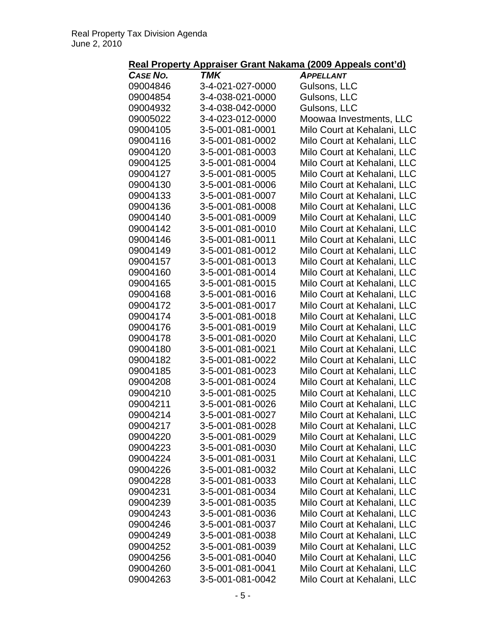# **Real Property Appraiser Grant Nakama (2009 Appeals cont'd)**

| <u></u>         | .                | <u></u><br><u></u>          |
|-----------------|------------------|-----------------------------|
| <b>CASE NO.</b> | TMK              | <b>APPELLANT</b>            |
| 09004846        | 3-4-021-027-0000 | Gulsons, LLC                |
| 09004854        | 3-4-038-021-0000 | Gulsons, LLC                |
| 09004932        | 3-4-038-042-0000 | Gulsons, LLC                |
| 09005022        | 3-4-023-012-0000 | Moowaa Investments, LLC     |
| 09004105        | 3-5-001-081-0001 | Milo Court at Kehalani, LLC |
| 09004116        | 3-5-001-081-0002 | Milo Court at Kehalani, LLC |
| 09004120        | 3-5-001-081-0003 | Milo Court at Kehalani, LLC |
| 09004125        | 3-5-001-081-0004 | Milo Court at Kehalani, LLC |
| 09004127        | 3-5-001-081-0005 | Milo Court at Kehalani, LLC |
| 09004130        | 3-5-001-081-0006 | Milo Court at Kehalani, LLC |
| 09004133        | 3-5-001-081-0007 | Milo Court at Kehalani, LLC |
| 09004136        | 3-5-001-081-0008 | Milo Court at Kehalani, LLC |
| 09004140        | 3-5-001-081-0009 | Milo Court at Kehalani, LLC |
| 09004142        | 3-5-001-081-0010 | Milo Court at Kehalani, LLC |
| 09004146        | 3-5-001-081-0011 | Milo Court at Kehalani, LLC |
| 09004149        | 3-5-001-081-0012 | Milo Court at Kehalani, LLC |
| 09004157        | 3-5-001-081-0013 | Milo Court at Kehalani, LLC |
| 09004160        | 3-5-001-081-0014 | Milo Court at Kehalani, LLC |
| 09004165        | 3-5-001-081-0015 | Milo Court at Kehalani, LLC |
| 09004168        | 3-5-001-081-0016 | Milo Court at Kehalani, LLC |
| 09004172        | 3-5-001-081-0017 | Milo Court at Kehalani, LLC |
| 09004174        | 3-5-001-081-0018 | Milo Court at Kehalani, LLC |
| 09004176        | 3-5-001-081-0019 | Milo Court at Kehalani, LLC |
| 09004178        | 3-5-001-081-0020 | Milo Court at Kehalani, LLC |
| 09004180        | 3-5-001-081-0021 | Milo Court at Kehalani, LLC |
| 09004182        | 3-5-001-081-0022 |                             |
| 09004185        | 3-5-001-081-0023 | Milo Court at Kehalani, LLC |
|                 |                  | Milo Court at Kehalani, LLC |
| 09004208        | 3-5-001-081-0024 | Milo Court at Kehalani, LLC |
| 09004210        | 3-5-001-081-0025 | Milo Court at Kehalani, LLC |
| 09004211        | 3-5-001-081-0026 | Milo Court at Kehalani, LLC |
| 09004214        | 3-5-001-081-0027 | Milo Court at Kehalani, LLC |
| 09004217        | 3-5-001-081-0028 | Milo Court at Kehalani, LLC |
| 09004220        | 3-5-001-081-0029 | Milo Court at Kehalani, LLC |
| 09004223        | 3-5-001-081-0030 | Milo Court at Kehalani, LLC |
| 09004224        | 3-5-001-081-0031 | Milo Court at Kehalani, LLC |
| 09004226        | 3-5-001-081-0032 | Milo Court at Kehalani, LLC |
| 09004228        | 3-5-001-081-0033 | Milo Court at Kehalani, LLC |
| 09004231        | 3-5-001-081-0034 | Milo Court at Kehalani, LLC |
| 09004239        | 3-5-001-081-0035 | Milo Court at Kehalani, LLC |
| 09004243        | 3-5-001-081-0036 | Milo Court at Kehalani, LLC |
| 09004246        | 3-5-001-081-0037 | Milo Court at Kehalani, LLC |
| 09004249        | 3-5-001-081-0038 | Milo Court at Kehalani, LLC |
| 09004252        | 3-5-001-081-0039 | Milo Court at Kehalani, LLC |
| 09004256        | 3-5-001-081-0040 | Milo Court at Kehalani, LLC |
| 09004260        | 3-5-001-081-0041 | Milo Court at Kehalani, LLC |
| 09004263        | 3-5-001-081-0042 | Milo Court at Kehalani, LLC |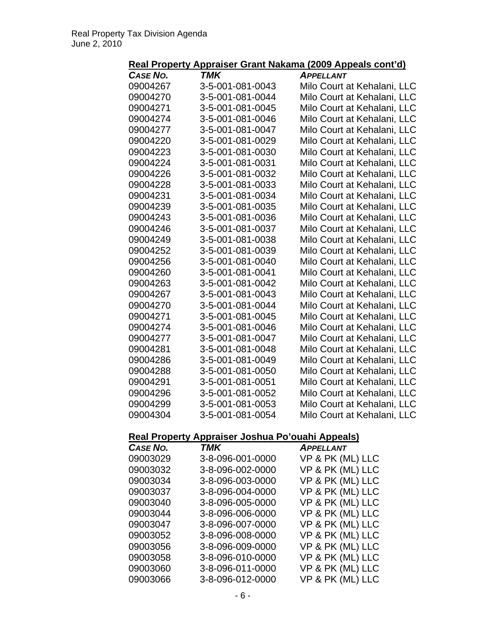|  | Real Property Appraiser Grant Nakama (2009 Appeals cont'd) |  |  |
|--|------------------------------------------------------------|--|--|
|  |                                                            |  |  |

| .                                                | .                | איו שטט<br><u>, , , , , , , , , , , ,</u> |
|--------------------------------------------------|------------------|-------------------------------------------|
| <b>CASE NO.</b>                                  | TMK              | <b>APPELLANT</b>                          |
| 09004267                                         | 3-5-001-081-0043 | Milo Court at Kehalani, LLC               |
| 09004270                                         | 3-5-001-081-0044 | Milo Court at Kehalani, LLC               |
| 09004271                                         | 3-5-001-081-0045 | Milo Court at Kehalani, LLC               |
| 09004274                                         | 3-5-001-081-0046 | Milo Court at Kehalani, LLC               |
| 09004277                                         | 3-5-001-081-0047 | Milo Court at Kehalani, LLC               |
| 09004220                                         | 3-5-001-081-0029 | Milo Court at Kehalani, LLC               |
| 09004223                                         | 3-5-001-081-0030 | Milo Court at Kehalani, LLC               |
| 09004224                                         | 3-5-001-081-0031 | Milo Court at Kehalani, LLC               |
| 09004226                                         | 3-5-001-081-0032 | Milo Court at Kehalani, LLC               |
| 09004228                                         | 3-5-001-081-0033 | Milo Court at Kehalani, LLC               |
| 09004231                                         | 3-5-001-081-0034 | Milo Court at Kehalani, LLC               |
| 09004239                                         | 3-5-001-081-0035 | Milo Court at Kehalani, LLC               |
| 09004243                                         | 3-5-001-081-0036 | Milo Court at Kehalani, LLC               |
| 09004246                                         | 3-5-001-081-0037 | Milo Court at Kehalani, LLC               |
| 09004249                                         | 3-5-001-081-0038 | Milo Court at Kehalani, LLC               |
| 09004252                                         | 3-5-001-081-0039 | Milo Court at Kehalani, LLC               |
| 09004256                                         | 3-5-001-081-0040 | Milo Court at Kehalani, LLC               |
| 09004260                                         | 3-5-001-081-0041 | Milo Court at Kehalani, LLC               |
| 09004263                                         | 3-5-001-081-0042 | Milo Court at Kehalani, LLC               |
| 09004267                                         | 3-5-001-081-0043 | Milo Court at Kehalani, LLC               |
| 09004270                                         | 3-5-001-081-0044 | Milo Court at Kehalani, LLC               |
| 09004271                                         | 3-5-001-081-0045 | Milo Court at Kehalani, LLC               |
| 09004274                                         | 3-5-001-081-0046 | Milo Court at Kehalani, LLC               |
| 09004277                                         | 3-5-001-081-0047 | Milo Court at Kehalani, LLC               |
| 09004281                                         | 3-5-001-081-0048 | Milo Court at Kehalani, LLC               |
| 09004286                                         | 3-5-001-081-0049 | Milo Court at Kehalani, LLC               |
| 09004288                                         | 3-5-001-081-0050 | Milo Court at Kehalani, LLC               |
| 09004291                                         | 3-5-001-081-0051 | Milo Court at Kehalani, LLC               |
| 09004296                                         | 3-5-001-081-0052 | Milo Court at Kehalani, LLC               |
| 09004299                                         | 3-5-001-081-0053 | Milo Court at Kehalani, LLC               |
| 09004304                                         | 3-5-001-081-0054 | Milo Court at Kehalani, LLC               |
|                                                  |                  |                                           |
| Real Property Appraiser Joshua Po'ouahi Appeals) |                  |                                           |
| <b>CASE NO.</b>                                  | <b>TMK</b>       | <b>APPELLANT</b>                          |
| 09003029                                         | 3-8-096-001-0000 | VP & PK (ML) LLC                          |

| <b>CASE NO.</b> | I MK             | <b>APPELLANT</b> |
|-----------------|------------------|------------------|
| 09003029        | 3-8-096-001-0000 | VP & PK (ML) LLC |
| 09003032        | 3-8-096-002-0000 | VP & PK (ML) LLC |
| 09003034        | 3-8-096-003-0000 | VP & PK (ML) LLC |
| 09003037        | 3-8-096-004-0000 | VP & PK (ML) LLC |
| 09003040        | 3-8-096-005-0000 | VP & PK (ML) LLC |
| 09003044        | 3-8-096-006-0000 | VP & PK (ML) LLC |
| 09003047        | 3-8-096-007-0000 | VP & PK (ML) LLC |
| 09003052        | 3-8-096-008-0000 | VP & PK (ML) LLC |
| 09003056        | 3-8-096-009-0000 | VP & PK (ML) LLC |
| 09003058        | 3-8-096-010-0000 | VP & PK (ML) LLC |
| 09003060        | 3-8-096-011-0000 | VP & PK (ML) LLC |
| 09003066        | 3-8-096-012-0000 | VP & PK (ML) LLC |
|                 |                  |                  |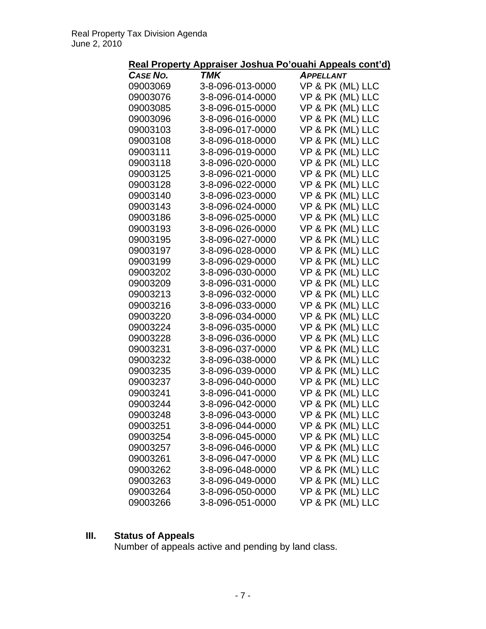| <b>CASE NO.</b> | TMK              | <b>APPELLANT</b> |
|-----------------|------------------|------------------|
| 09003069        | 3-8-096-013-0000 | VP & PK (ML) LLC |
| 09003076        | 3-8-096-014-0000 | VP & PK (ML) LLC |
| 09003085        | 3-8-096-015-0000 | VP & PK (ML) LLC |
| 09003096        | 3-8-096-016-0000 | VP & PK (ML) LLC |
| 09003103        | 3-8-096-017-0000 | VP & PK (ML) LLC |
| 09003108        | 3-8-096-018-0000 | VP & PK (ML) LLC |
| 09003111        | 3-8-096-019-0000 | VP & PK (ML) LLC |
| 09003118        | 3-8-096-020-0000 | VP & PK (ML) LLC |
| 09003125        | 3-8-096-021-0000 | VP & PK (ML) LLC |
| 09003128        | 3-8-096-022-0000 | VP & PK (ML) LLC |
| 09003140        | 3-8-096-023-0000 | VP & PK (ML) LLC |
| 09003143        | 3-8-096-024-0000 | VP & PK (ML) LLC |
| 09003186        | 3-8-096-025-0000 | VP & PK (ML) LLC |
| 09003193        | 3-8-096-026-0000 | VP & PK (ML) LLC |
| 09003195        | 3-8-096-027-0000 | VP & PK (ML) LLC |
| 09003197        | 3-8-096-028-0000 | VP & PK (ML) LLC |
| 09003199        | 3-8-096-029-0000 | VP & PK (ML) LLC |
| 09003202        | 3-8-096-030-0000 | VP & PK (ML) LLC |
| 09003209        | 3-8-096-031-0000 | VP & PK (ML) LLC |
| 09003213        | 3-8-096-032-0000 | VP & PK (ML) LLC |
| 09003216        | 3-8-096-033-0000 | VP & PK (ML) LLC |
| 09003220        | 3-8-096-034-0000 | VP & PK (ML) LLC |
| 09003224        | 3-8-096-035-0000 | VP & PK (ML) LLC |
| 09003228        | 3-8-096-036-0000 | VP & PK (ML) LLC |
| 09003231        | 3-8-096-037-0000 | VP & PK (ML) LLC |
| 09003232        | 3-8-096-038-0000 | VP & PK (ML) LLC |
| 09003235        | 3-8-096-039-0000 | VP & PK (ML) LLC |
| 09003237        | 3-8-096-040-0000 | VP & PK (ML) LLC |
| 09003241        | 3-8-096-041-0000 | VP & PK (ML) LLC |
| 09003244        | 3-8-096-042-0000 | VP & PK (ML) LLC |
| 09003248        | 3-8-096-043-0000 | VP & PK (ML) LLC |
| 09003251        | 3-8-096-044-0000 | VP & PK (ML) LLC |
| 09003254        | 3-8-096-045-0000 | VP & PK (ML) LLC |
| 09003257        | 3-8-096-046-0000 | VP & PK (ML) LLC |
| 09003261        | 3-8-096-047-0000 | VP & PK (ML) LLC |
| 09003262        | 3-8-096-048-0000 | VP & PK (ML) LLC |
| 09003263        | 3-8-096-049-0000 | VP & PK (ML) LLC |
| 09003264        | 3-8-096-050-0000 | VP & PK (ML) LLC |
| 09003266        | 3-8-096-051-0000 | VP & PK (ML) LLC |

#### **III. Status of Appeals**

Number of appeals active and pending by land class.